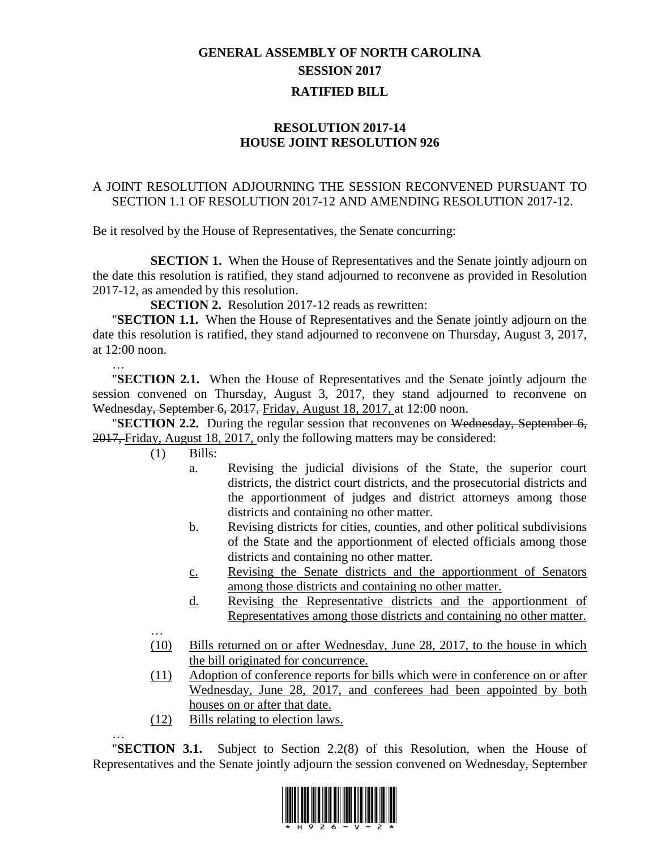## **GENERAL ASSEMBLY OF NORTH CAROLINA SESSION 2017 RATIFIED BILL**

## **RESOLUTION 2017-14 HOUSE JOINT RESOLUTION 926**

## A JOINT RESOLUTION ADJOURNING THE SESSION RECONVENED PURSUANT TO SECTION 1.1 OF RESOLUTION 2017-12 AND AMENDING RESOLUTION 2017-12.

Be it resolved by the House of Representatives, the Senate concurring:

**SECTION 1.** When the House of Representatives and the Senate jointly adjourn on the date this resolution is ratified, they stand adjourned to reconvene as provided in Resolution 2017-12, as amended by this resolution.

**SECTION 2.** Resolution 2017-12 reads as rewritten:

"**SECTION 1.1.** When the House of Representatives and the Senate jointly adjourn on the date this resolution is ratified, they stand adjourned to reconvene on Thursday, August 3, 2017, at 12:00 noon.

"**SECTION 2.1.** When the House of Representatives and the Senate jointly adjourn the session convened on Thursday, August 3, 2017, they stand adjourned to reconvene on Wednesday, September 6, 2017, Friday, August 18, 2017, at 12:00 noon.

"**SECTION 2.2.** During the regular session that reconvenes on Wednesday, September 6, 2017, Friday, August 18, 2017, only the following matters may be considered:

(1) Bills:

…

…

- a. Revising the judicial divisions of the State, the superior court districts, the district court districts, and the prosecutorial districts and the apportionment of judges and district attorneys among those districts and containing no other matter.
- b. Revising districts for cities, counties, and other political subdivisions of the State and the apportionment of elected officials among those districts and containing no other matter.
- c. Revising the Senate districts and the apportionment of Senators among those districts and containing no other matter.
- d. Revising the Representative districts and the apportionment of Representatives among those districts and containing no other matter.
- … (10) Bills returned on or after Wednesday, June 28, 2017, to the house in which the bill originated for concurrence.
- (11) Adoption of conference reports for bills which were in conference on or after Wednesday, June 28, 2017, and conferees had been appointed by both houses on or after that date.
- (12) Bills relating to election laws.

"**SECTION 3.1.** Subject to Section 2.2(8) of this Resolution, when the House of Representatives and the Senate jointly adjourn the session convened on Wednesday, September